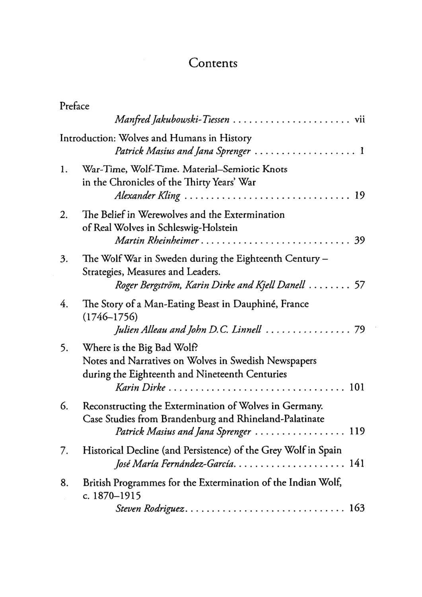## **Contents**

| Preface |                                                                                                                                                          |
|---------|----------------------------------------------------------------------------------------------------------------------------------------------------------|
|         |                                                                                                                                                          |
|         | Introduction: Wolves and Humans in History<br>Patrick Masius and Jana Sprenger  1                                                                        |
| 1.      | War-Time, Wolf-Time. Material-Semiotic Knots<br>in the Chronicles of the Thirty Years' War<br>Alexander Kling  19                                        |
| 2.      | The Belief in Werewolves and the Extermination<br>of Real Wolves in Schleswig-Holstein<br>Martin Rheinheimer 39                                          |
| 3.      | The Wolf War in Sweden during the Eighteenth Century –<br>Strategies, Measures and Leaders.<br>Roger Bergström, Karin Dirke and Kjell Danell  57         |
| 4.      | The Story of a Man-Eating Beast in Dauphiné, France<br>$(1746 - 1756)$<br>Julien Alleau and John D.C. Linnell  79                                        |
| 5.      | Where is the Big Bad Wolf?<br>Notes and Narratives on Wolves in Swedish Newspapers<br>during the Eighteenth and Nineteenth Centuries<br>Karin Dirke  101 |
| 6.      | Reconstructing the Extermination of Wolves in Germany.<br>Case Studies from Brandenburg and Rhineland-Palatinate<br>Patrick Masius and Jana Sprenger 119 |
| 7.      | Historical Decline (and Persistence) of the Grey Wolf in Spain<br>José María Fernández-García 141                                                        |
| 8.      | British Programmes for the Extermination of the Indian Wolf,<br>c. 1870-1915<br>Steven Rodriguez 163                                                     |

 $\cdot$